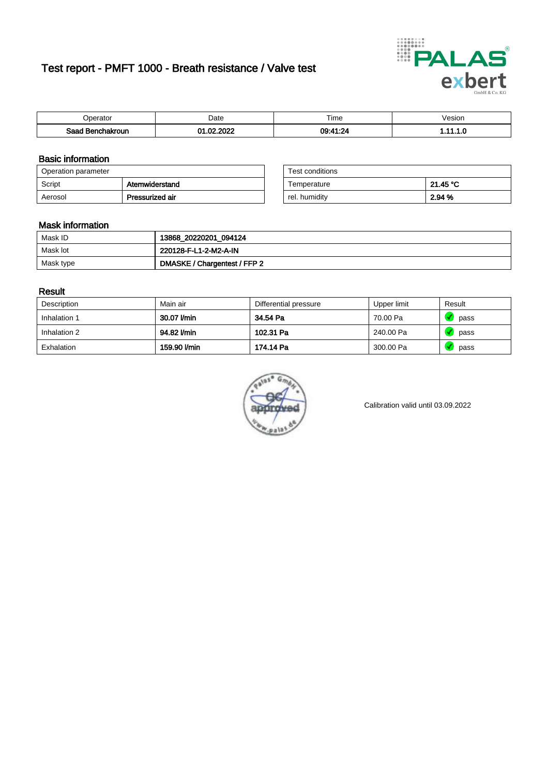# Test report - PMFT 1000 - Breath resistance / Valve test



| <b>'</b> perator              | Date      | $- \cdot$<br><b>Time</b> | /esion |
|-------------------------------|-----------|--------------------------|--------|
| Saad<br><b>nchakroun</b><br>. | 000<br>c. | 00.41.2<br>20            | .      |

### Basic information

| Operation parameter |                 | Test conditions |          |  |
|---------------------|-----------------|-----------------|----------|--|
| Script              | Atemwiderstand  | Temperature     | 21.45 °C |  |
| Aerosol             | Pressurized air | rel. humidity   | 2.94 %   |  |

| Test conditions |          |
|-----------------|----------|
| Temperature     | 21.45 °C |
| rel. humidity   | 2.94 %   |

### Mask information

| Mask ID   | 13868_20220201_094124        |
|-----------|------------------------------|
| Mask lot  | 220128-F-L1-2-M2-A-IN        |
| Mask type | DMASKE / Chargentest / FFP 2 |

### Result

| Description  | Main air     | Differential pressure | Upper limit | Result |
|--------------|--------------|-----------------------|-------------|--------|
| Inhalation 1 | 30.07 l/min  | 34.54 Pa              | 70.00 Pa    | pass   |
| Inhalation 2 | 94.82 l/min  | 102.31 Pa             | 240.00 Pa   | pass   |
| Exhalation   | 159.90 l/min | 174.14 Pa             | 300.00 Pa   | pass   |



Calibration valid until 03.09.2022